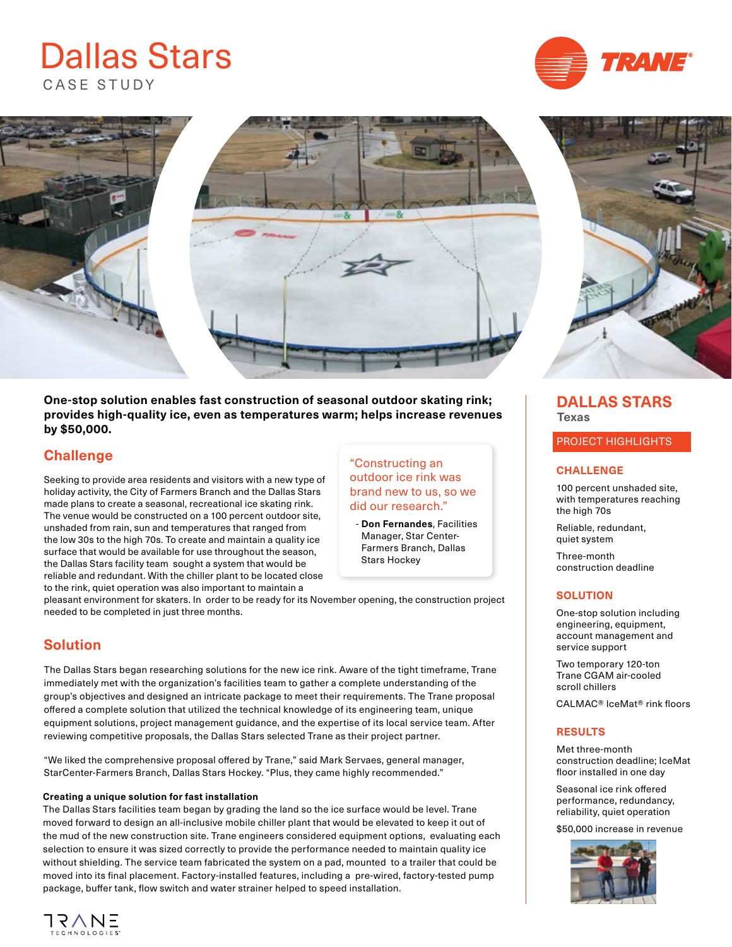# CASE STUDY Dallas Stars





**One-stop solution enables fast construction of seasonal outdoor skating rink; provides high-quality ice, even as temperatures warm; helps increase revenues by \$50,000.** 

## **Challenge**

Seeking to provide area residents and visitors with a new type of holiday activity, the City of Farmers Branch and the Dallas Stars made plans to create a seasonal, recreational ice skating rink. The venue would be constructed on a 100 percent outdoor site, unshaded from rain, sun and temperatures that ranged from the low 30s to the high 70s. To create and maintain a quality ice surface that would be available for use throughout the season, the Dallas Stars facility team sought a system that would be reliable and redundant. With the chiller plant to be located close to the rink, quiet operation was also important to maintain a

#### "Constructing an outdoor ice rink was brand new to us, so we did our research."

 - **Don Fernandes**, Facilities Manager, Star Center-Farmers Branch, Dallas Stars Hockey

pleasant environment for skaters. In order to be ready for its November opening, the construction project needed to be completed in just three months.

## **Solution**

The Dallas Stars began researching solutions for the new ice rink. Aware of the tight timeframe, Trane immediately met with the organization's facilities team to gather a complete understanding of the group's objectives and designed an intricate package to meet their requirements. The Trane proposal offered a complete solution that utilized the technical knowledge of its engineering team, unique equipment solutions, project management guidance, and the expertise of its local service team. After reviewing competitive proposals, the Dallas Stars selected Trane as their project partner.

"We liked the comprehensive proposal offered by Trane," said Mark Servaes, general manager, StarCenter-Farmers Branch, Dallas Stars Hockey. "Plus, they came highly recommended."

#### **Creating a unique solution for fast installation**

The Dallas Stars facilities team began by grading the land so the ice surface would be level. Trane moved forward to design an all-inclusive mobile chiller plant that would be elevated to keep it out of the mud of the new construction site. Trane engineers considered equipment options, evaluating each selection to ensure it was sized correctly to provide the performance needed to maintain quality ice without shielding. The service team fabricated the system on a pad, mounted to a trailer that could be moved into its final placement. Factory-installed features, including a pre-wired, factory-tested pump package, buffer tank, flow switch and water strainer helped to speed installation.



## **DALLAS STARS Texas**

PROJECT HIGHLIGHTS

#### **CHALLENGE**

100 percent unshaded site, with temperatures reaching the high 70s

Reliable, redundant, quiet system

Three-month construction deadline

#### **SOLUTION**

One-stop solution including engineering, equipment, account management and service support

Two temporary 120-ton Trane CGAM air-cooled scroll chillers

CALMAC® IceMat® rink floors

#### **RESULTS**

Met three-month construction deadline; IceMat floor installed in one day

Seasonal ice rink offered performance, redundancy, reliability, quiet operation

\$50,000 increase in revenue